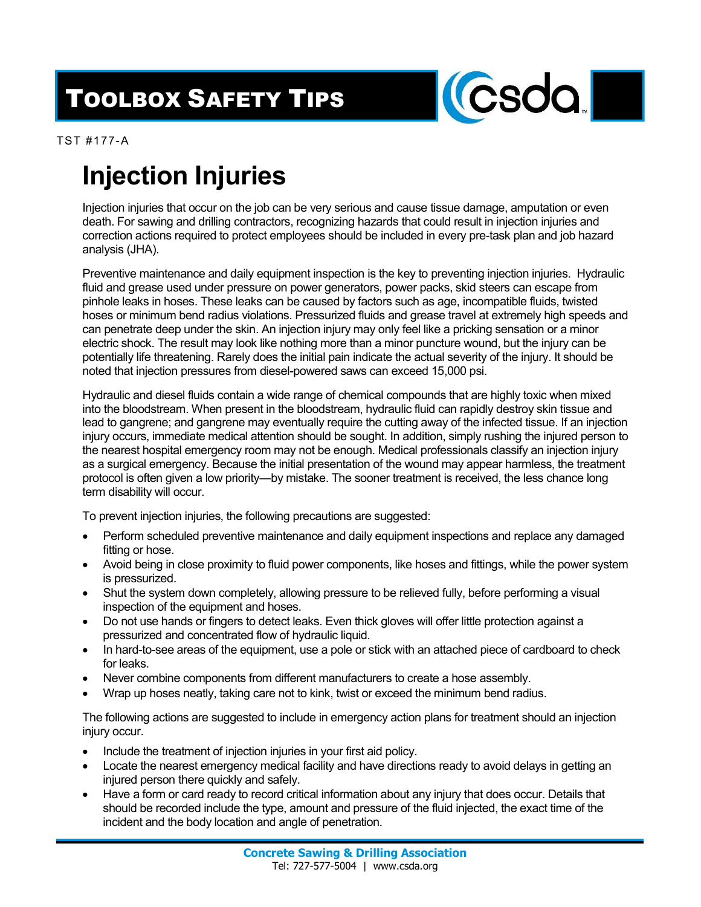## TOOLBOX SAFETY TIPS



TST #177-A

## Injection Injuries

Injection injuries that occur on the job can be very serious and cause tissue damage, amputation or even death. For sawing and drilling contractors, recognizing hazards that could result in injection injuries and correction actions required to protect employees should be included in every pre-task plan and job hazard analysis (JHA).

Preventive maintenance and daily equipment inspection is the key to preventing injection injuries. Hydraulic fluid and grease used under pressure on power generators, power packs, skid steers can escape from pinhole leaks in hoses. These leaks can be caused by factors such as age, incompatible fluids, twisted hoses or minimum bend radius violations. Pressurized fluids and grease travel at extremely high speeds and can penetrate deep under the skin. An injection injury may only feel like a pricking sensation or a minor electric shock. The result may look like nothing more than a minor puncture wound, but the injury can be potentially life threatening. Rarely does the initial pain indicate the actual severity of the injury. It should be noted that injection pressures from diesel-powered saws can exceed 15,000 psi.

Hydraulic and diesel fluids contain a wide range of chemical compounds that are highly toxic when mixed into the bloodstream. When present in the bloodstream, hydraulic fluid can rapidly destroy skin tissue and lead to gangrene; and gangrene may eventually require the cutting away of the infected tissue. If an injection injury occurs, immediate medical attention should be sought. In addition, simply rushing the injured person to the nearest hospital emergency room may not be enough. Medical professionals classify an injection injury as a surgical emergency. Because the initial presentation of the wound may appear harmless, the treatment protocol is often given a low priority―by mistake. The sooner treatment is received, the less chance long term disability will occur.

To prevent injection injuries, the following precautions are suggested:

- Perform scheduled preventive maintenance and daily equipment inspections and replace any damaged fitting or hose.
- Avoid being in close proximity to fluid power components, like hoses and fittings, while the power system is pressurized.
- Shut the system down completely, allowing pressure to be relieved fully, before performing a visual inspection of the equipment and hoses.
- Do not use hands or fingers to detect leaks. Even thick gloves will offer little protection against a pressurized and concentrated flow of hydraulic liquid.
- In hard-to-see areas of the equipment, use a pole or stick with an attached piece of cardboard to check for leaks.
- Never combine components from different manufacturers to create a hose assembly.
- Wrap up hoses neatly, taking care not to kink, twist or exceed the minimum bend radius.

The following actions are suggested to include in emergency action plans for treatment should an injection injury occur.

- Include the treatment of injection injuries in your first aid policy.
- Locate the nearest emergency medical facility and have directions ready to avoid delays in getting an injured person there quickly and safely.
- Have a form or card ready to record critical information about any injury that does occur. Details that should be recorded include the type, amount and pressure of the fluid injected, the exact time of the incident and the body location and angle of penetration.